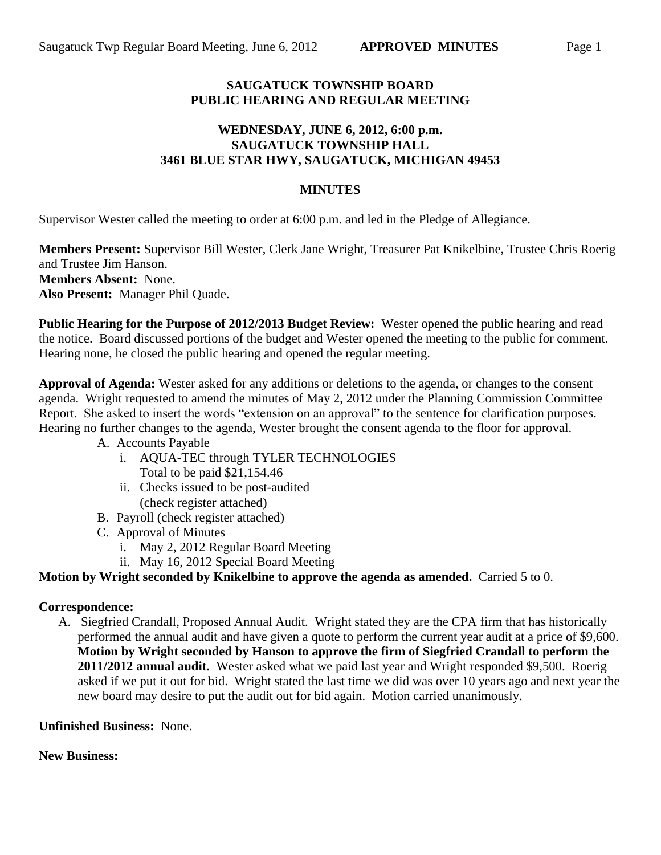## **SAUGATUCK TOWNSHIP BOARD PUBLIC HEARING AND REGULAR MEETING**

# **WEDNESDAY, JUNE 6, 2012, 6:00 p.m. SAUGATUCK TOWNSHIP HALL 3461 BLUE STAR HWY, SAUGATUCK, MICHIGAN 49453**

# **MINUTES**

Supervisor Wester called the meeting to order at 6:00 p.m. and led in the Pledge of Allegiance.

**Members Present:** Supervisor Bill Wester, Clerk Jane Wright, Treasurer Pat Knikelbine, Trustee Chris Roerig and Trustee Jim Hanson. **Members Absent:** None. **Also Present:** Manager Phil Quade.

**Public Hearing for the Purpose of 2012/2013 Budget Review:** Wester opened the public hearing and read the notice. Board discussed portions of the budget and Wester opened the meeting to the public for comment. Hearing none, he closed the public hearing and opened the regular meeting.

**Approval of Agenda:** Wester asked for any additions or deletions to the agenda, or changes to the consent agenda. Wright requested to amend the minutes of May 2, 2012 under the Planning Commission Committee Report. She asked to insert the words "extension on an approval" to the sentence for clarification purposes. Hearing no further changes to the agenda, Wester brought the consent agenda to the floor for approval.

- A. Accounts Payable
	- i. AQUA-TEC through TYLER TECHNOLOGIES Total to be paid \$21,154.46
	- ii. Checks issued to be post-audited (check register attached)
- B. Payroll (check register attached)
- C. Approval of Minutes
	- i. May 2, 2012 Regular Board Meeting
	- ii. May 16, 2012 Special Board Meeting

## **Motion by Wright seconded by Knikelbine to approve the agenda as amended.** Carried 5 to 0.

## **Correspondence:**

A. Siegfried Crandall, Proposed Annual Audit. Wright stated they are the CPA firm that has historically performed the annual audit and have given a quote to perform the current year audit at a price of \$9,600. **Motion by Wright seconded by Hanson to approve the firm of Siegfried Crandall to perform the 2011/2012 annual audit.** Wester asked what we paid last year and Wright responded \$9,500. Roerig asked if we put it out for bid. Wright stated the last time we did was over 10 years ago and next year the new board may desire to put the audit out for bid again. Motion carried unanimously.

## **Unfinished Business:** None.

## **New Business:**